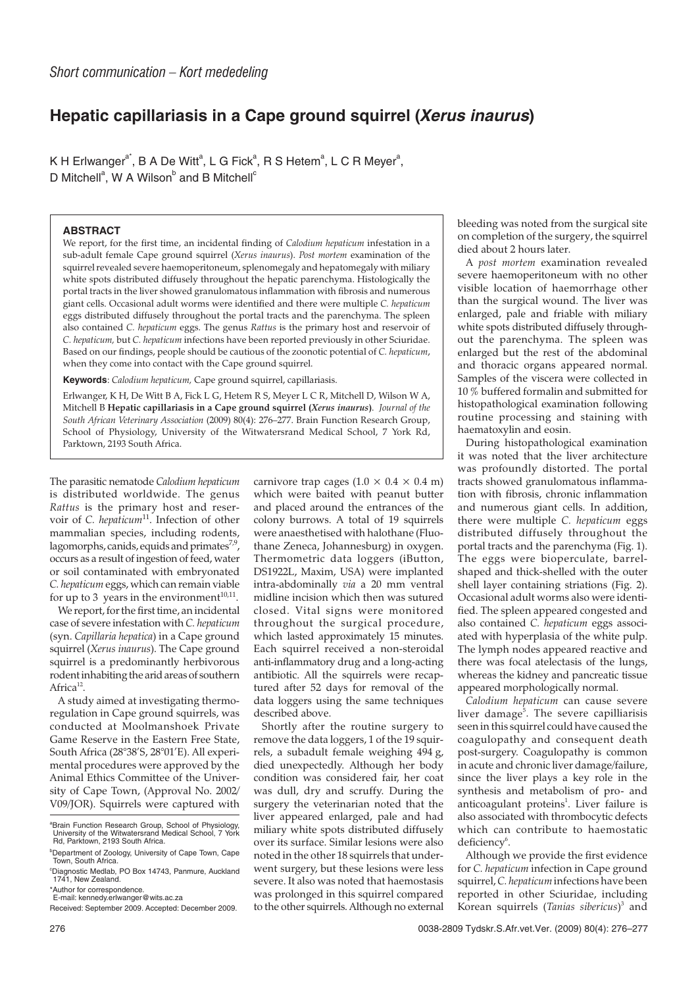## **Hepatic capillariasis in a Cape ground squirrel (Xerus inaurus)**

K H Erlwanger $a^*$ , B A De Witt $^a$ , L G Fick $^a$ , R S Hetem $^a$ , L C R Meyer $^a$ , D Mitchell<sup>a</sup>, W A Wilson<sup>b</sup> and B Mitchell<sup>c</sup>

## **ABSTRACT**

We report, for the first time, an incidental finding of *Calodium hepaticum* infestation in a sub-adult female Cape ground squirrel (*Xerus inaurus*). *Post mortem* examination of the squirrel revealed severe haemoperitoneum, splenomegaly and hepatomegaly with miliary white spots distributed diffusely throughout the hepatic parenchyma. Histologically the portal tracts in the liver showed granulomatous inflammation with fibrosis and numerous giant cells. Occasional adult worms were identified and there were multiple *C. hepaticum* eggs distributed diffusely throughout the portal tracts and the parenchyma. The spleen also contained *C. hepaticum* eggs. The genus *Rattus* is the primary host and reservoir of *C. hepaticum,* but *C. hepaticum* infections have been reported previously in other Sciuridae. Based on our findings, people should be cautious of the zoonotic potential of *C. hepaticum*, when they come into contact with the Cape ground squirrel.

**Keywords**: *Calodium hepaticum,* Cape ground squirrel, capillariasis.

Erlwanger, K H, De Witt B A, Fick L G, Hetem R S, Meyer L C R, Mitchell D, Wilson W A, Mitchell B **Hepatic capillariasis in a Cape ground squirrel (***Xerus inaurus***)**. *Journal of the South African Veterinary Association* (2009) 80(4): 276–277. Brain Function Research Group, School of Physiology, University of the Witwatersrand Medical School, 7 York Rd, Parktown, 2193 South Africa.

The parasitic nematode *Calodium hepaticum* is distributed worldwide. The genus *Rattus* is the primary host and reservoir of *C. hepaticum*<sup>11</sup>. Infection of other mammalian species, including rodents, lagomorphs, canids, equids and primates $^{7,9}$ , occurs as a result of ingestion of feed, water or soil contaminated with embryonated *C. hepaticum* eggs, which can remain viable for up to 3 years in the environment $10,11$ .

We report, for the first time, an incidental case of severe infestation with *C. hepaticum* (syn. *Capillaria hepatica*) in a Cape ground squirrel (*Xerus inaurus*). The Cape ground squirrel is a predominantly herbivorous rodent inhabiting the arid areas of southern Africa $^{12}$ .

A study aimed at investigating thermoregulation in Cape ground squirrels, was conducted at Moolmanshoek Private Game Reserve in the Eastern Free State, South Africa (28°38'S, 28°01'E). All experimental procedures were approved by the Animal Ethics Committee of the University of Cape Town, (Approval No. 2002/ V09/JOR). Squirrels were captured with carnivore trap cages  $(1.0 \times 0.4 \times 0.4 \text{ m})$ which were baited with peanut butter and placed around the entrances of the colony burrows. A total of 19 squirrels were anaesthetised with halothane (Fluothane Zeneca, Johannesburg) in oxygen. Thermometric data loggers (iButton, DS1922L, Maxim, USA) were implanted intra-abdominally *via* a 20 mm ventral midline incision which then was sutured closed. Vital signs were monitored throughout the surgical procedure, which lasted approximately 15 minutes. Each squirrel received a non-steroidal anti-inflammatory drug and a long-acting antibiotic. All the squirrels were recaptured after 52 days for removal of the data loggers using the same techniques described above.

Shortly after the routine surgery to remove the data loggers, 1 of the 19 squirrels, a subadult female weighing 494 g, died unexpectedly. Although her body condition was considered fair, her coat was dull, dry and scruffy. During the surgery the veterinarian noted that the liver appeared enlarged, pale and had miliary white spots distributed diffusely over its surface. Similar lesions were also noted in the other 18 squirrels that underwent surgery, but these lesions were less severe. It also was noted that haemostasis was prolonged in this squirrel compared to the other squirrels. Although no external bleeding was noted from the surgical site on completion of the surgery, the squirrel died about 2 hours later.

A *post mortem* examination revealed severe haemoperitoneum with no other visible location of haemorrhage other than the surgical wound. The liver was enlarged, pale and friable with miliary white spots distributed diffusely throughout the parenchyma. The spleen was enlarged but the rest of the abdominal and thoracic organs appeared normal. Samples of the viscera were collected in 10 % buffered formalin and submitted for histopathological examination following routine processing and staining with haematoxylin and eosin.

During histopathological examination it was noted that the liver architecture was profoundly distorted. The portal tracts showed granulomatous inflammation with fibrosis, chronic inflammation and numerous giant cells. In addition, there were multiple *C. hepaticum* eggs distributed diffusely throughout the portal tracts and the parenchyma (Fig. 1). The eggs were bioperculate, barrelshaped and thick-shelled with the outer shell layer containing striations (Fig. 2). Occasional adult worms also were identified. The spleen appeared congested and also contained *C. hepaticum* eggs associated with hyperplasia of the white pulp. The lymph nodes appeared reactive and there was focal atelectasis of the lungs, whereas the kidney and pancreatic tissue appeared morphologically normal.

*Calodium hepaticum* can cause severe liver damage<sup>5</sup>. The severe capilliarisis seen in this squirrel could have caused the coagulopathy and consequent death post-surgery. Coagulopathy is common in acute and chronic liver damage/failure, since the liver plays a key role in the synthesis and metabolism of pro- and anticoagulant proteins<sup>1</sup>. Liver failure is also associated with thrombocytic defects which can contribute to haemostatic deficiency<sup>6</sup>.

Although we provide the first evidence for *C. hepaticum* infection in Cape ground squirrel,*C. hepaticum* infections have been reported in other Sciuridae, including Korean squirrels (*Tanias sibericus*) <sup>3</sup> and

<sup>&</sup>lt;sup>a</sup>Brain Function Research Group, School of Physiology, University of the Witwatersrand Medical School, 7 York Rd, Parktown, 2193 South Africa.

<sup>&</sup>lt;sup>b</sup>Department of Zoology, University of Cape Town, Cape Town, South Africa.

c Diagnostic Medlab, PO Box 14743, Panmure, Auckland 1741, New Zealand.

<sup>\*</sup>Author for correspondence. E-mail: kennedy.erlwanger@wits.ac.za

Received: September 2009. Accepted: December 2009.